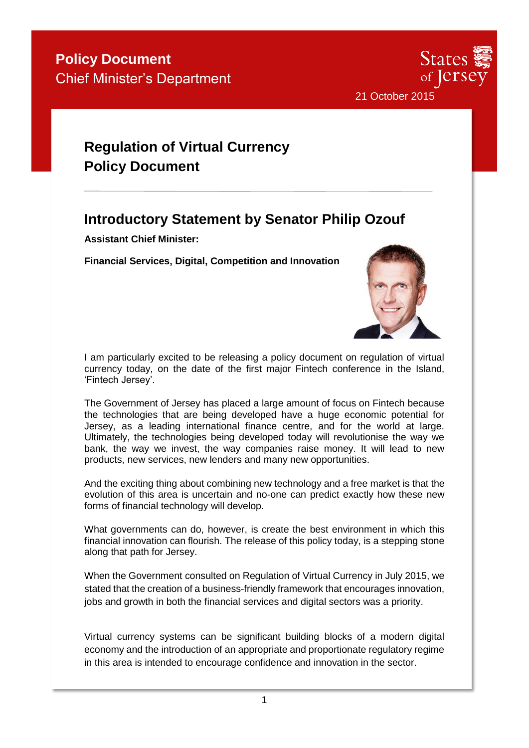

# **Regulation of Virtual Currency Policy Document**

### **Introductory Statement by Senator Philip Ozouf**

**Assistant Chief Minister:**

**Financial Services, Digital, Competition and Innovation**



I am particularly excited to be releasing a policy document on regulation of virtual currency today, on the date of the first major Fintech conference in the Island, 'Fintech Jersey'.

The Government of Jersey has placed a large amount of focus on Fintech because the technologies that are being developed have a huge economic potential for Jersey, as a leading international finance centre, and for the world at large. Ultimately, the technologies being developed today will revolutionise the way we bank, the way we invest, the way companies raise money. It will lead to new products, new services, new lenders and many new opportunities.

And the exciting thing about combining new technology and a free market is that the evolution of this area is uncertain and no-one can predict exactly how these new forms of financial technology will develop.

What governments can do, however, is create the best environment in which this financial innovation can flourish. The release of this policy today, is a stepping stone along that path for Jersey.

When the Government consulted on Regulation of Virtual Currency in July 2015, we stated that the creation of a business-friendly framework that encourages innovation, jobs and growth in both the financial services and digital sectors was a priority.

Virtual currency systems can be significant building blocks of a modern digital economy and the introduction of an appropriate and proportionate regulatory regime in this area is intended to encourage confidence and innovation in the sector.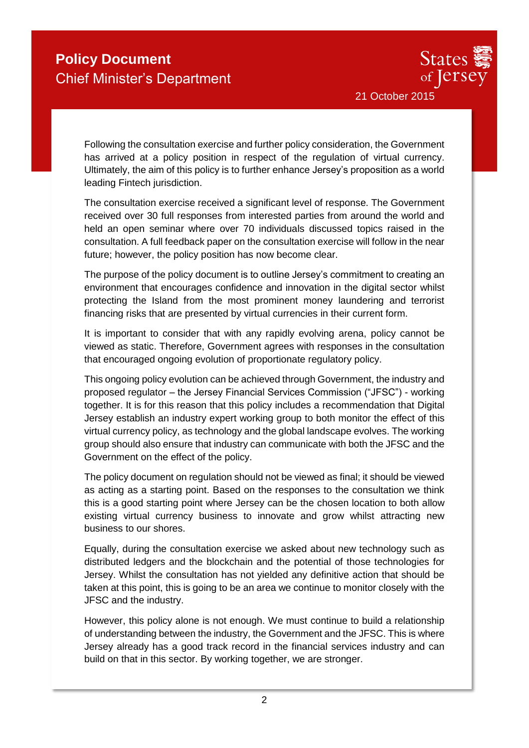

Following the consultation exercise and further policy consideration, the Government has arrived at a policy position in respect of the regulation of virtual currency. Ultimately, the aim of this policy is to further enhance Jersey's proposition as a world leading Fintech jurisdiction.

The consultation exercise received a significant level of response. The Government received over 30 full responses from interested parties from around the world and held an open seminar where over 70 individuals discussed topics raised in the consultation. A full feedback paper on the consultation exercise will follow in the near future; however, the policy position has now become clear.

The purpose of the policy document is to outline Jersey's commitment to creating an environment that encourages confidence and innovation in the digital sector whilst protecting the Island from the most prominent money laundering and terrorist financing risks that are presented by virtual currencies in their current form.

It is important to consider that with any rapidly evolving arena, policy cannot be viewed as static. Therefore, Government agrees with responses in the consultation that encouraged ongoing evolution of proportionate regulatory policy.

This ongoing policy evolution can be achieved through Government, the industry and proposed regulator – the Jersey Financial Services Commission ("JFSC") - working together. It is for this reason that this policy includes a recommendation that Digital Jersey establish an industry expert working group to both monitor the effect of this virtual currency policy, as technology and the global landscape evolves. The working group should also ensure that industry can communicate with both the JFSC and the Government on the effect of the policy.

The policy document on regulation should not be viewed as final; it should be viewed as acting as a starting point. Based on the responses to the consultation we think this is a good starting point where Jersey can be the chosen location to both allow existing virtual currency business to innovate and grow whilst attracting new business to our shores.

Equally, during the consultation exercise we asked about new technology such as distributed ledgers and the blockchain and the potential of those technologies for Jersey. Whilst the consultation has not yielded any definitive action that should be taken at this point, this is going to be an area we continue to monitor closely with the JFSC and the industry.

However, this policy alone is not enough. We must continue to build a relationship of understanding between the industry, the Government and the JFSC. This is where Jersey already has a good track record in the financial services industry and can build on that in this sector. By working together, we are stronger.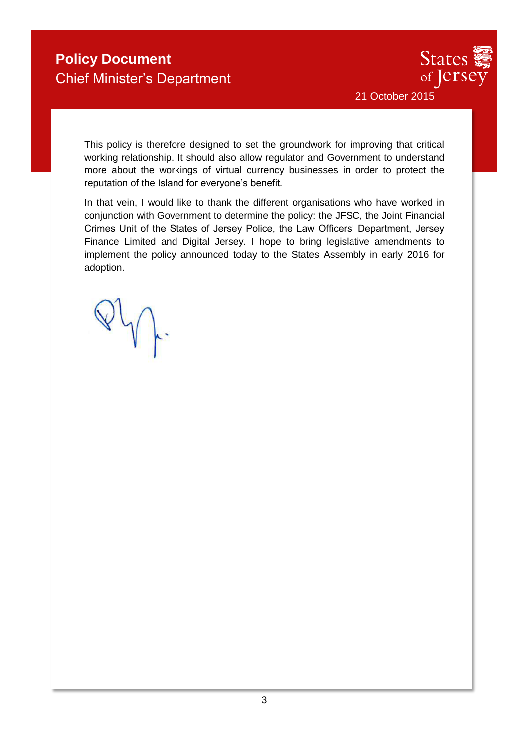

This policy is therefore designed to set the groundwork for improving that critical working relationship. It should also allow regulator and Government to understand more about the workings of virtual currency businesses in order to protect the reputation of the Island for everyone's benefit*.*

In that vein, I would like to thank the different organisations who have worked in conjunction with Government to determine the policy: the JFSC, the Joint Financial Crimes Unit of the States of Jersey Police, the Law Officers' Department, Jersey Finance Limited and Digital Jersey. I hope to bring legislative amendments to implement the policy announced today to the States Assembly in early 2016 for adoption.

 $\forall\psi$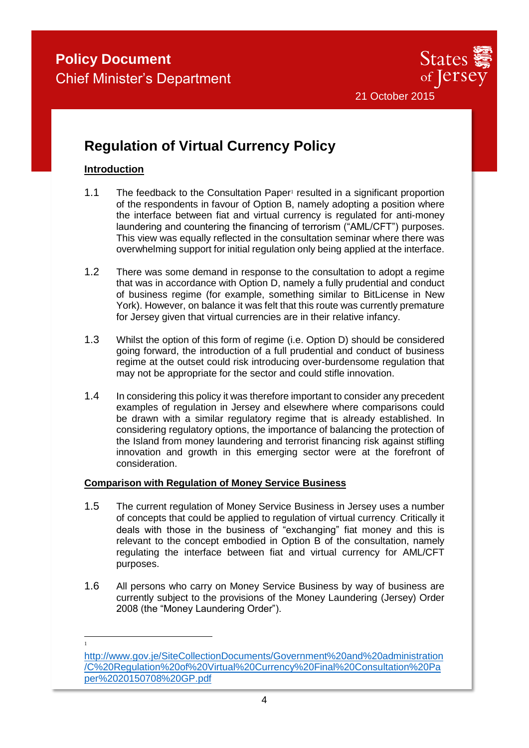

### **Regulation of Virtual Currency Policy**

#### **Introduction**

-1

- 1.1 The feedback to the Consultation Paper<sup>1</sup> resulted in a significant proportion of the respondents in favour of Option B, namely adopting a position where the interface between fiat and virtual currency is regulated for anti-money laundering and countering the financing of terrorism ("AML/CFT") purposes. This view was equally reflected in the consultation seminar where there was overwhelming support for initial regulation only being applied at the interface.
- 1.2 There was some demand in response to the consultation to adopt a regime that was in accordance with Option D, namely a fully prudential and conduct of business regime (for example, something similar to BitLicense in New York). However, on balance it was felt that this route was currently premature for Jersey given that virtual currencies are in their relative infancy.
- 1.3 Whilst the option of this form of regime (i.e. Option D) should be considered going forward, the introduction of a full prudential and conduct of business regime at the outset could risk introducing over-burdensome regulation that may not be appropriate for the sector and could stifle innovation.
- 1.4 In considering this policy it was therefore important to consider any precedent examples of regulation in Jersey and elsewhere where comparisons could be drawn with a similar regulatory regime that is already established. In considering regulatory options, the importance of balancing the protection of the Island from money laundering and terrorist financing risk against stifling innovation and growth in this emerging sector were at the forefront of consideration.

#### **Comparison with Regulation of Money Service Business**

- 1.5 The current regulation of Money Service Business in Jersey uses a number of concepts that could be applied to regulation of virtual currency. Critically it deals with those in the business of "exchanging" fiat money and this is relevant to the concept embodied in Option B of the consultation, namely regulating the interface between fiat and virtual currency for AML/CFT purposes.
- 1.6 All persons who carry on Money Service Business by way of business are currently subject to the provisions of the Money Laundering (Jersey) Order 2008 (the "Money Laundering Order").

[http://www.gov.je/SiteCollectionDocuments/Government%20and%20administration](http://www.gov.je/SiteCollectionDocuments/Government%20and%20administration/C%20Regulation%20of%20Virtual%20Currency%20Final%20Consultation%20Paper%2020150708%20GP.pdf) [/C%20Regulation%20of%20Virtual%20Currency%20Final%20Consultation%20Pa](http://www.gov.je/SiteCollectionDocuments/Government%20and%20administration/C%20Regulation%20of%20Virtual%20Currency%20Final%20Consultation%20Paper%2020150708%20GP.pdf) [per%2020150708%20GP.pdf](http://www.gov.je/SiteCollectionDocuments/Government%20and%20administration/C%20Regulation%20of%20Virtual%20Currency%20Final%20Consultation%20Paper%2020150708%20GP.pdf)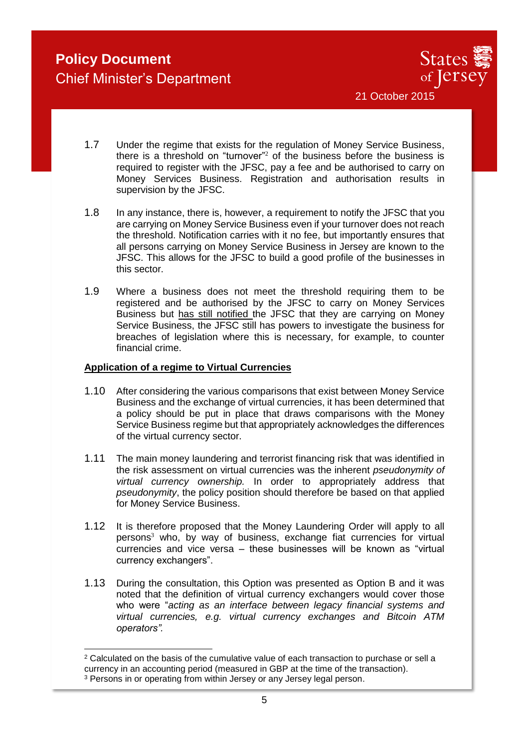

1.7 Under the regime that exists for the regulation of Money Service Business, there is a threshold on "turnover"<sup>2</sup> of the business before the business is required to register with the JFSC, pay a fee and be authorised to carry on Money Services Business. Registration and authorisation results in supervision by the JFSC.

- 1.8 In any instance, there is, however, a requirement to notify the JFSC that you are carrying on Money Service Business even if your turnover does not reach the threshold. Notification carries with it no fee, but importantly ensures that all persons carrying on Money Service Business in Jersey are known to the JFSC. This allows for the JFSC to build a good profile of the businesses in this sector.
- 1.9 Where a business does not meet the threshold requiring them to be registered and be authorised by the JFSC to carry on Money Services Business but has still notified the JFSC that they are carrying on Money Service Business, the JFSC still has powers to investigate the business for breaches of legislation where this is necessary, for example, to counter financial crime.

#### **Application of a regime to Virtual Currencies**

- 1.10 After considering the various comparisons that exist between Money Service Business and the exchange of virtual currencies, it has been determined that a policy should be put in place that draws comparisons with the Money Service Business regime but that appropriately acknowledges the differences of the virtual currency sector.
- 1.11 The main money laundering and terrorist financing risk that was identified in the risk assessment on virtual currencies was the inherent *pseudonymity of virtual currency ownership.* In order to appropriately address that *pseudonymity*, the policy position should therefore be based on that applied for Money Service Business.
- 1.12 It is therefore proposed that the Money Laundering Order will apply to all persons<sup>3</sup> who, by way of business, exchange fiat currencies for virtual currencies and vice versa – these businesses will be known as "virtual currency exchangers".
- 1.13 During the consultation, this Option was presented as Option B and it was noted that the definition of virtual currency exchangers would cover those who were "*acting as an interface between legacy financial systems and virtual currencies, e.g. virtual currency exchanges and Bitcoin ATM operators".*

<sup>-</sup><sup>2</sup> Calculated on the basis of the cumulative value of each transaction to purchase or sell a currency in an accounting period (measured in GBP at the time of the transaction).

<sup>&</sup>lt;sup>3</sup> Persons in or operating from within Jersey or any Jersey legal person.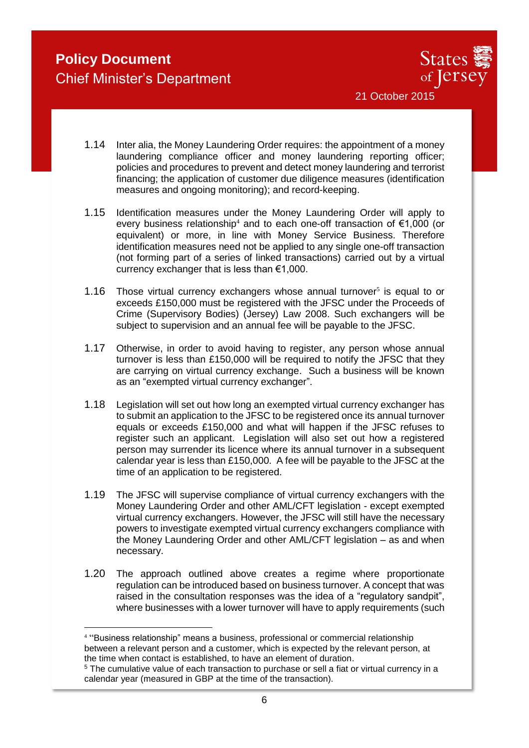-



- 1.14 Inter alia, the Money Laundering Order requires: the appointment of a money laundering compliance officer and money laundering reporting officer; policies and procedures to prevent and detect money laundering and terrorist financing; the application of customer due diligence measures (identification measures and ongoing monitoring); and record-keeping.
- 1.15 Identification measures under the Money Laundering Order will apply to every business relationship<sup>4</sup> and to each one-off transaction of  $\epsilon$ 1,000 (or equivalent) or more, in line with Money Service Business. Therefore identification measures need not be applied to any single one-off transaction (not forming part of a series of linked transactions) carried out by a virtual currency exchanger that is less than €1,000.
- 1.16 Those virtual currency exchangers whose annual turnover<sup>5</sup> is equal to or exceeds £150,000 must be registered with the JFSC under the Proceeds of Crime (Supervisory Bodies) (Jersey) Law 2008. Such exchangers will be subject to supervision and an annual fee will be payable to the JFSC.
- 1.17 Otherwise, in order to avoid having to register, any person whose annual turnover is less than £150,000 will be required to notify the JFSC that they are carrying on virtual currency exchange. Such a business will be known as an "exempted virtual currency exchanger".
- 1.18 Legislation will set out how long an exempted virtual currency exchanger has to submit an application to the JFSC to be registered once its annual turnover equals or exceeds £150,000 and what will happen if the JFSC refuses to register such an applicant. Legislation will also set out how a registered person may surrender its licence where its annual turnover in a subsequent calendar year is less than £150,000. A fee will be payable to the JFSC at the time of an application to be registered.
- 1.19 The JFSC will supervise compliance of virtual currency exchangers with the Money Laundering Order and other AML/CFT legislation - except exempted virtual currency exchangers. However, the JFSC will still have the necessary powers to investigate exempted virtual currency exchangers compliance with the Money Laundering Order and other AML/CFT legislation – as and when necessary.
- 1.20 The approach outlined above creates a regime where proportionate regulation can be introduced based on business turnover. A concept that was raised in the consultation responses was the idea of a "regulatory sandpit", where businesses with a lower turnover will have to apply requirements (such

<sup>4</sup> "Business relationship" means a business, professional or commercial relationship between a relevant person and a customer, which is expected by the relevant person, at the time when contact is established, to have an element of duration.

<sup>5</sup> The cumulative value of each transaction to purchase or sell a fiat or virtual currency in a calendar year (measured in GBP at the time of the transaction).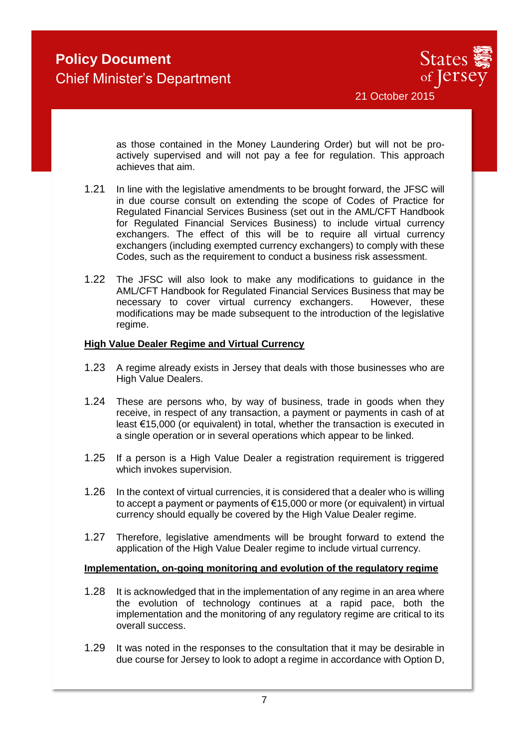

as those contained in the Money Laundering Order) but will not be proactively supervised and will not pay a fee for regulation. This approach achieves that aim.

- 1.21 In line with the legislative amendments to be brought forward, the JFSC will in due course consult on extending the scope of Codes of Practice for Regulated Financial Services Business (set out in the AML/CFT Handbook for Regulated Financial Services Business) to include virtual currency exchangers. The effect of this will be to require all virtual currency exchangers (including exempted currency exchangers) to comply with these Codes, such as the requirement to conduct a business risk assessment.
- 1.22 The JFSC will also look to make any modifications to guidance in the AML/CFT Handbook for Regulated Financial Services Business that may be necessary to cover virtual currency exchangers. However, these modifications may be made subsequent to the introduction of the legislative regime.

#### **High Value Dealer Regime and Virtual Currency**

- 1.23 A regime already exists in Jersey that deals with those businesses who are High Value Dealers.
- 1.24 These are persons who, by way of business, trade in goods when they receive, in respect of any transaction, a payment or payments in cash of at least €15,000 (or equivalent) in total, whether the transaction is executed in a single operation or in several operations which appear to be linked.
- 1.25 If a person is a High Value Dealer a registration requirement is triggered which invokes supervision.
- 1.26 In the context of virtual currencies, it is considered that a dealer who is willing to accept a payment or payments of €15,000 or more (or equivalent) in virtual currency should equally be covered by the High Value Dealer regime.
- 1.27 Therefore, legislative amendments will be brought forward to extend the application of the High Value Dealer regime to include virtual currency.

#### **Implementation, on-going monitoring and evolution of the regulatory regime**

- 1.28 It is acknowledged that in the implementation of any regime in an area where the evolution of technology continues at a rapid pace, both the implementation and the monitoring of any regulatory regime are critical to its overall success.
- 1.29 It was noted in the responses to the consultation that it may be desirable in due course for Jersey to look to adopt a regime in accordance with Option D,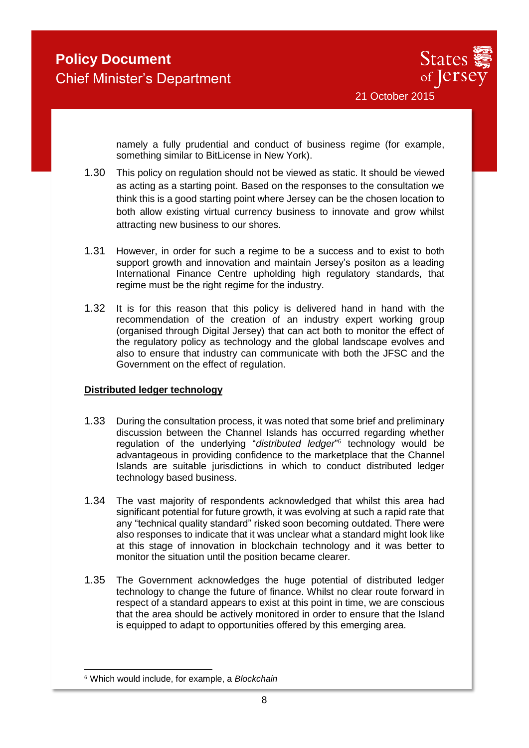

namely a fully prudential and conduct of business regime (for example, something similar to BitLicense in New York).

- 1.30 This policy on regulation should not be viewed as static. It should be viewed as acting as a starting point. Based on the responses to the consultation we think this is a good starting point where Jersey can be the chosen location to both allow existing virtual currency business to innovate and grow whilst attracting new business to our shores.
- 1.31 However, in order for such a regime to be a success and to exist to both support growth and innovation and maintain Jersey's positon as a leading International Finance Centre upholding high regulatory standards, that regime must be the right regime for the industry.
- 1.32 It is for this reason that this policy is delivered hand in hand with the recommendation of the creation of an industry expert working group (organised through Digital Jersey) that can act both to monitor the effect of the regulatory policy as technology and the global landscape evolves and also to ensure that industry can communicate with both the JFSC and the Government on the effect of regulation.

#### **Distributed ledger technology**

- 1.33 During the consultation process, it was noted that some brief and preliminary discussion between the Channel Islands has occurred regarding whether regulation of the underlying "distributed ledger<sup>"6</sup> technology would be advantageous in providing confidence to the marketplace that the Channel Islands are suitable jurisdictions in which to conduct distributed ledger technology based business.
- 1.34 The vast majority of respondents acknowledged that whilst this area had significant potential for future growth, it was evolving at such a rapid rate that any "technical quality standard" risked soon becoming outdated. There were also responses to indicate that it was unclear what a standard might look like at this stage of innovation in blockchain technology and it was better to monitor the situation until the position became clearer.
- 1.35 The Government acknowledges the huge potential of distributed ledger technology to change the future of finance. Whilst no clear route forward in respect of a standard appears to exist at this point in time, we are conscious that the area should be actively monitored in order to ensure that the Island is equipped to adapt to opportunities offered by this emerging area.

<sup>-</sup><sup>6</sup> Which would include, for example, a *Blockchain*